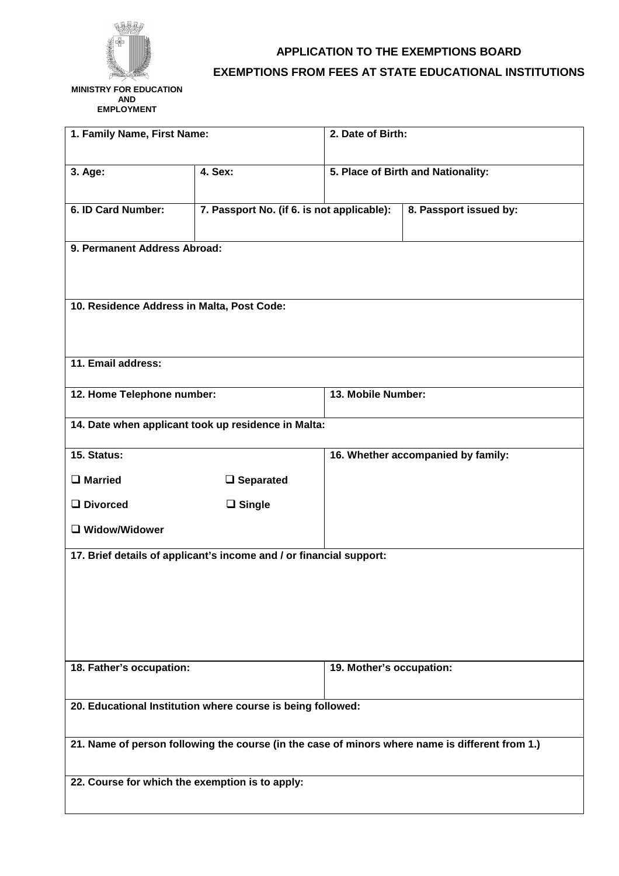

## **APPLICATION TO THE EXEMPTIONS BOARD EXEMPTIONS FROM FEES AT STATE EDUCATIONAL INSTITUTIONS**

 **MINISTRY FOR EDUCATION AND EMPLOYMENT** 

| 1. Family Name, First Name:                                                                     |                                            | 2. Date of Birth:                  |                        |  |
|-------------------------------------------------------------------------------------------------|--------------------------------------------|------------------------------------|------------------------|--|
| 3. Age:                                                                                         | 4. Sex:                                    | 5. Place of Birth and Nationality: |                        |  |
| 6. ID Card Number:                                                                              | 7. Passport No. (if 6. is not applicable): |                                    | 8. Passport issued by: |  |
| 9. Permanent Address Abroad:                                                                    |                                            |                                    |                        |  |
| 10. Residence Address in Malta, Post Code:                                                      |                                            |                                    |                        |  |
| 11. Email address:                                                                              |                                            |                                    |                        |  |
| 12. Home Telephone number:                                                                      |                                            | 13. Mobile Number:                 |                        |  |
| 14. Date when applicant took up residence in Malta:                                             |                                            |                                    |                        |  |
| 15. Status:                                                                                     |                                            | 16. Whether accompanied by family: |                        |  |
| $\Box$ Married                                                                                  | $\Box$ Separated                           |                                    |                        |  |
| $\Box$ Divorced                                                                                 | $\Box$ Single                              |                                    |                        |  |
| □ Widow/Widower                                                                                 |                                            |                                    |                        |  |
| 17. Brief details of applicant's income and / or financial support:                             |                                            |                                    |                        |  |
|                                                                                                 |                                            |                                    |                        |  |
| 18. Father's occupation:                                                                        |                                            | 19. Mother's occupation:           |                        |  |
| 20. Educational Institution where course is being followed:                                     |                                            |                                    |                        |  |
| 21. Name of person following the course (in the case of minors where name is different from 1.) |                                            |                                    |                        |  |
| 22. Course for which the exemption is to apply:                                                 |                                            |                                    |                        |  |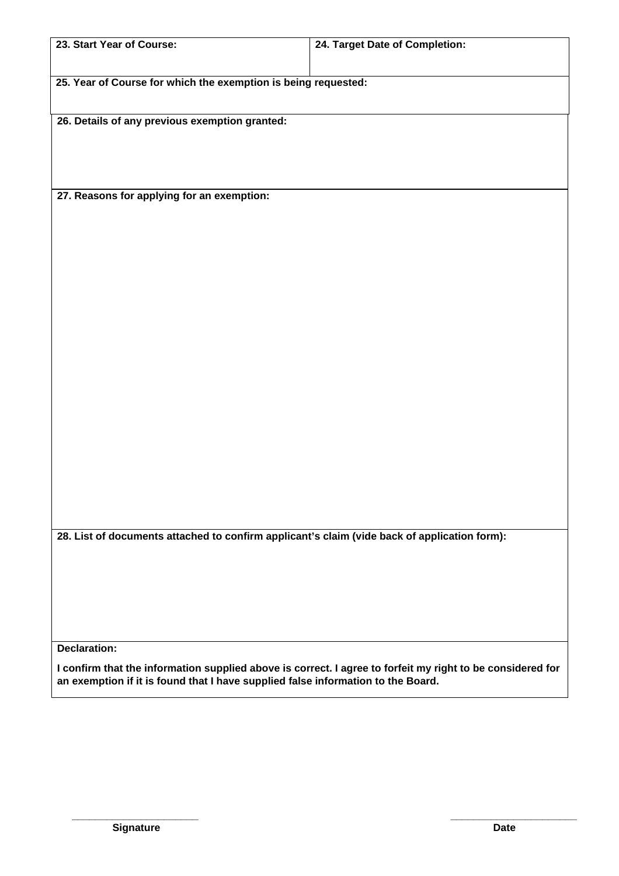| 23. Start Year of Course:                                                                                  | 24. Target Date of Completion: |  |  |  |
|------------------------------------------------------------------------------------------------------------|--------------------------------|--|--|--|
|                                                                                                            |                                |  |  |  |
|                                                                                                            |                                |  |  |  |
| 25. Year of Course for which the exemption is being requested:                                             |                                |  |  |  |
|                                                                                                            |                                |  |  |  |
|                                                                                                            |                                |  |  |  |
| 26. Details of any previous exemption granted:                                                             |                                |  |  |  |
|                                                                                                            |                                |  |  |  |
|                                                                                                            |                                |  |  |  |
|                                                                                                            |                                |  |  |  |
|                                                                                                            |                                |  |  |  |
| 27. Reasons for applying for an exemption:                                                                 |                                |  |  |  |
|                                                                                                            |                                |  |  |  |
|                                                                                                            |                                |  |  |  |
|                                                                                                            |                                |  |  |  |
|                                                                                                            |                                |  |  |  |
|                                                                                                            |                                |  |  |  |
|                                                                                                            |                                |  |  |  |
|                                                                                                            |                                |  |  |  |
|                                                                                                            |                                |  |  |  |
|                                                                                                            |                                |  |  |  |
|                                                                                                            |                                |  |  |  |
|                                                                                                            |                                |  |  |  |
|                                                                                                            |                                |  |  |  |
|                                                                                                            |                                |  |  |  |
|                                                                                                            |                                |  |  |  |
|                                                                                                            |                                |  |  |  |
|                                                                                                            |                                |  |  |  |
|                                                                                                            |                                |  |  |  |
|                                                                                                            |                                |  |  |  |
|                                                                                                            |                                |  |  |  |
|                                                                                                            |                                |  |  |  |
|                                                                                                            |                                |  |  |  |
|                                                                                                            |                                |  |  |  |
|                                                                                                            |                                |  |  |  |
|                                                                                                            |                                |  |  |  |
|                                                                                                            |                                |  |  |  |
|                                                                                                            |                                |  |  |  |
|                                                                                                            |                                |  |  |  |
| 28. List of documents attached to confirm applicant's claim (vide back of application form):               |                                |  |  |  |
|                                                                                                            |                                |  |  |  |
|                                                                                                            |                                |  |  |  |
|                                                                                                            |                                |  |  |  |
|                                                                                                            |                                |  |  |  |
|                                                                                                            |                                |  |  |  |
|                                                                                                            |                                |  |  |  |
|                                                                                                            |                                |  |  |  |
|                                                                                                            |                                |  |  |  |
| <b>Declaration:</b>                                                                                        |                                |  |  |  |
| I confirm that the information supplied above is correct. I agree to forfeit my right to be considered for |                                |  |  |  |
| an exemption if it is found that I have supplied false information to the Board.                           |                                |  |  |  |

**\_\_\_\_\_\_\_\_\_\_\_\_\_\_\_\_\_\_\_\_\_\_ \_\_\_\_\_\_\_\_\_\_\_\_\_\_\_\_\_\_\_\_\_\_**